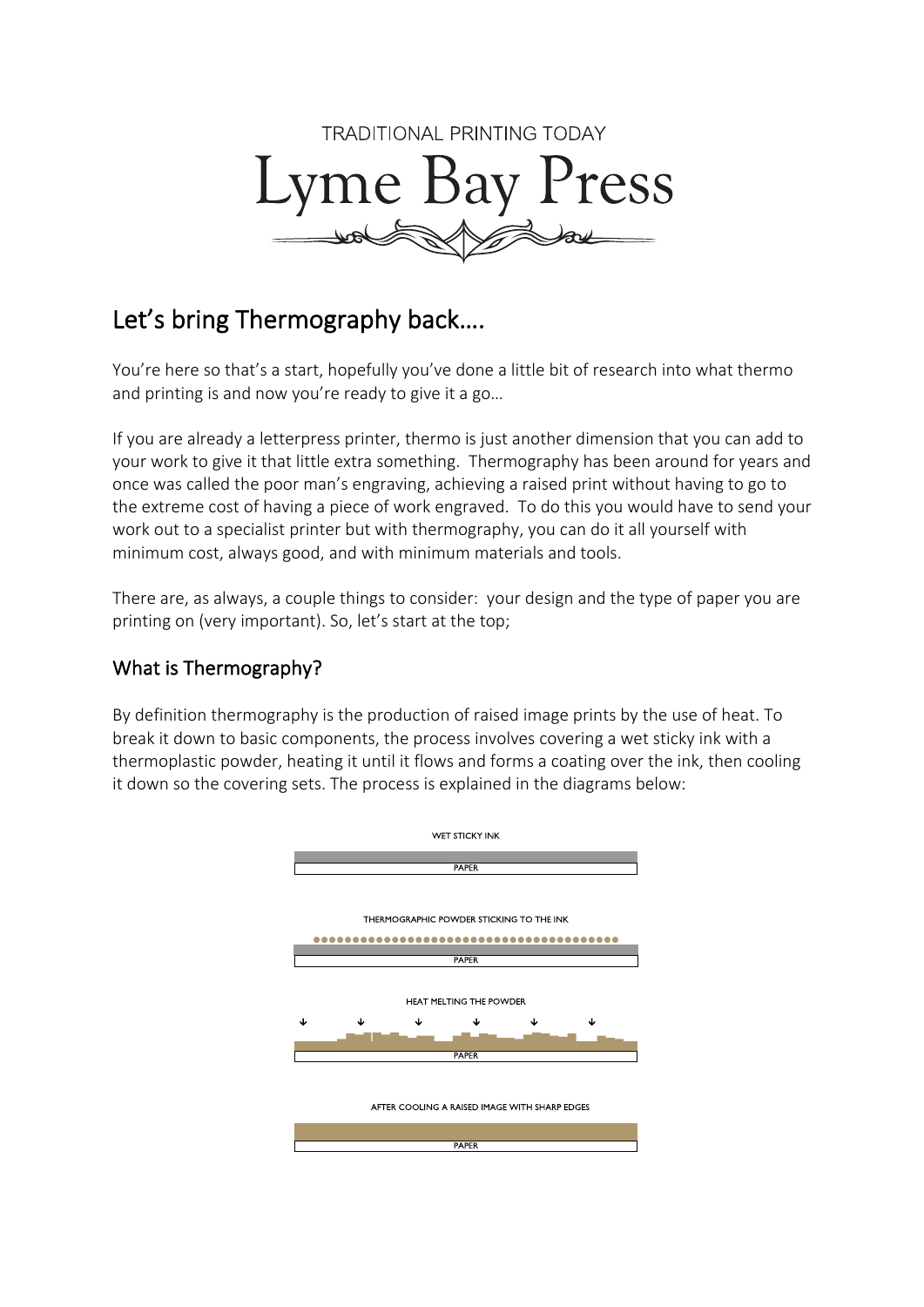

# Let's bring Thermography back….

You're here so that's a start, hopefully you've done a little bit of research into what thermo and printing is and now you're ready to give it a go…

If you are already a letterpress printer, thermo is just another dimension that you can add to your work to give it that little extra something. Thermography has been around for years and once was called the poor man's engraving, achieving a raised print without having to go to the extreme cost of having a piece of work engraved. To do this you would have to send your work out to a specialist printer but with thermography, you can do it all yourself with minimum cost, always good, and with minimum materials and tools.

There are, as always, a couple things to consider: your design and the type of paper you are printing on (very important). So, let's start at the top;

## What is Thermography?

By definition thermography is the production of raised image prints by the use of heat. To break it down to basic components, the process involves covering a wet sticky ink with a thermoplastic powder, heating it until it flows and forms a coating over the ink, then cooling it down so the covering sets. The process is explained in the diagrams below:

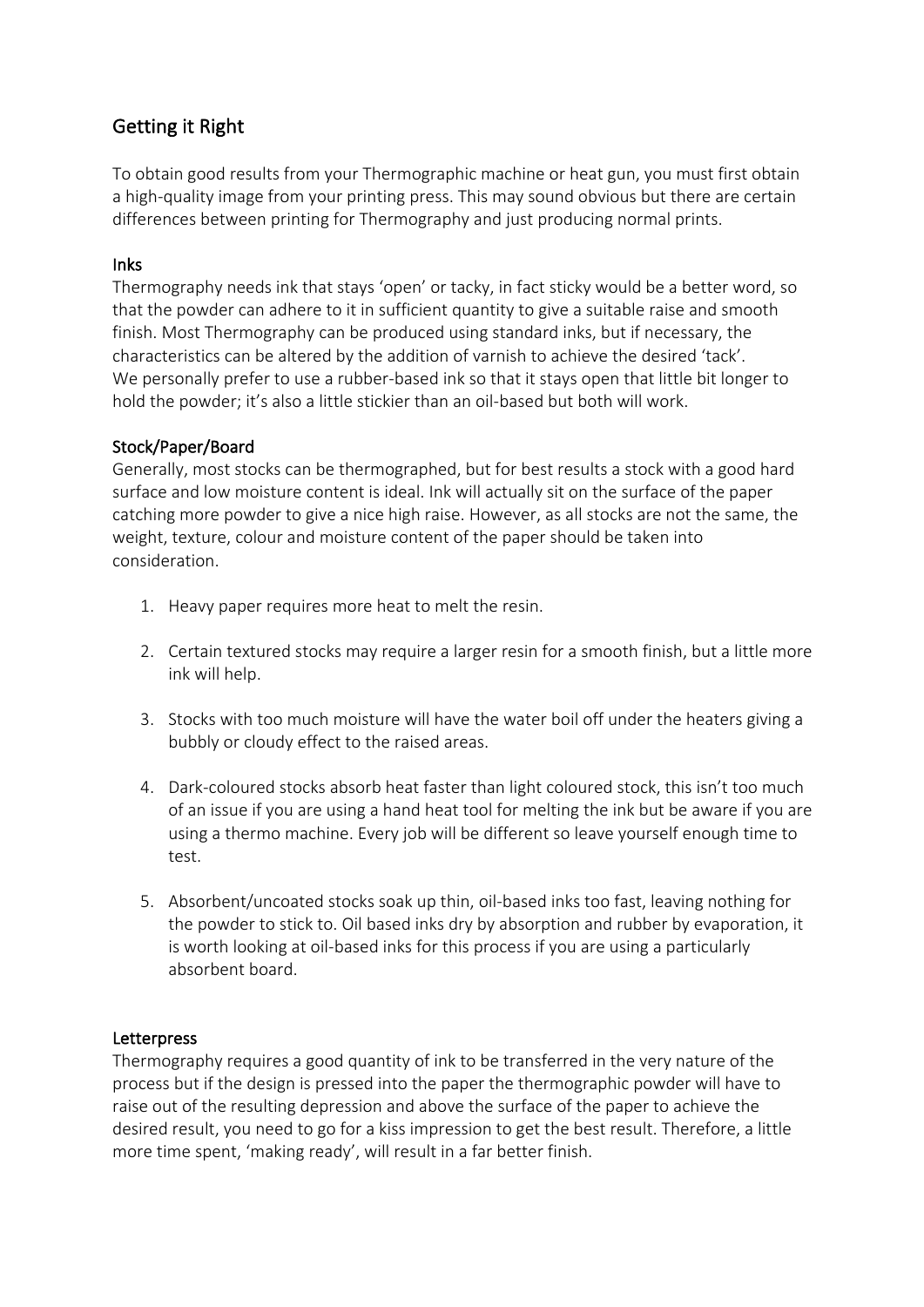# Getting it Right

To obtain good results from your Thermographic machine or heat gun, you must first obtain a high-quality image from your printing press. This may sound obvious but there are certain differences between printing for Thermography and just producing normal prints.

#### Inks

Thermography needs ink that stays 'open' or tacky, in fact sticky would be a better word, so that the powder can adhere to it in sufficient quantity to give a suitable raise and smooth finish. Most Thermography can be produced using standard inks, but if necessary, the characteristics can be altered by the addition of varnish to achieve the desired 'tack'. We personally prefer to use a rubber-based ink so that it stays open that little bit longer to hold the powder; it's also a little stickier than an oil-based but both will work.

#### Stock/Paper/Board

Generally, most stocks can be thermographed, but for best results a stock with a good hard surface and low moisture content is ideal. Ink will actually sit on the surface of the paper catching more powder to give a nice high raise. However, as all stocks are not the same, the weight, texture, colour and moisture content of the paper should be taken into consideration.

- 1. Heavy paper requires more heat to melt the resin.
- 2. Certain textured stocks may require a larger resin for a smooth finish, but a little more ink will help.
- 3. Stocks with too much moisture will have the water boil off under the heaters giving a bubbly or cloudy effect to the raised areas.
- 4. Dark-coloured stocks absorb heat faster than light coloured stock, this isn't too much of an issue if you are using a hand heat tool for melting the ink but be aware if you are using a thermo machine. Every job will be different so leave yourself enough time to test.
- 5. Absorbent/uncoated stocks soak up thin, oil-based inks too fast, leaving nothing for the powder to stick to. Oil based inks dry by absorption and rubber by evaporation, it is worth looking at oil-based inks for this process if you are using a particularly absorbent board.

#### Letterpress

Thermography requires a good quantity of ink to be transferred in the very nature of the process but if the design is pressed into the paper the thermographic powder will have to raise out of the resulting depression and above the surface of the paper to achieve the desired result, you need to go for a kiss impression to get the best result. Therefore, a little more time spent, 'making ready', will result in a far better finish.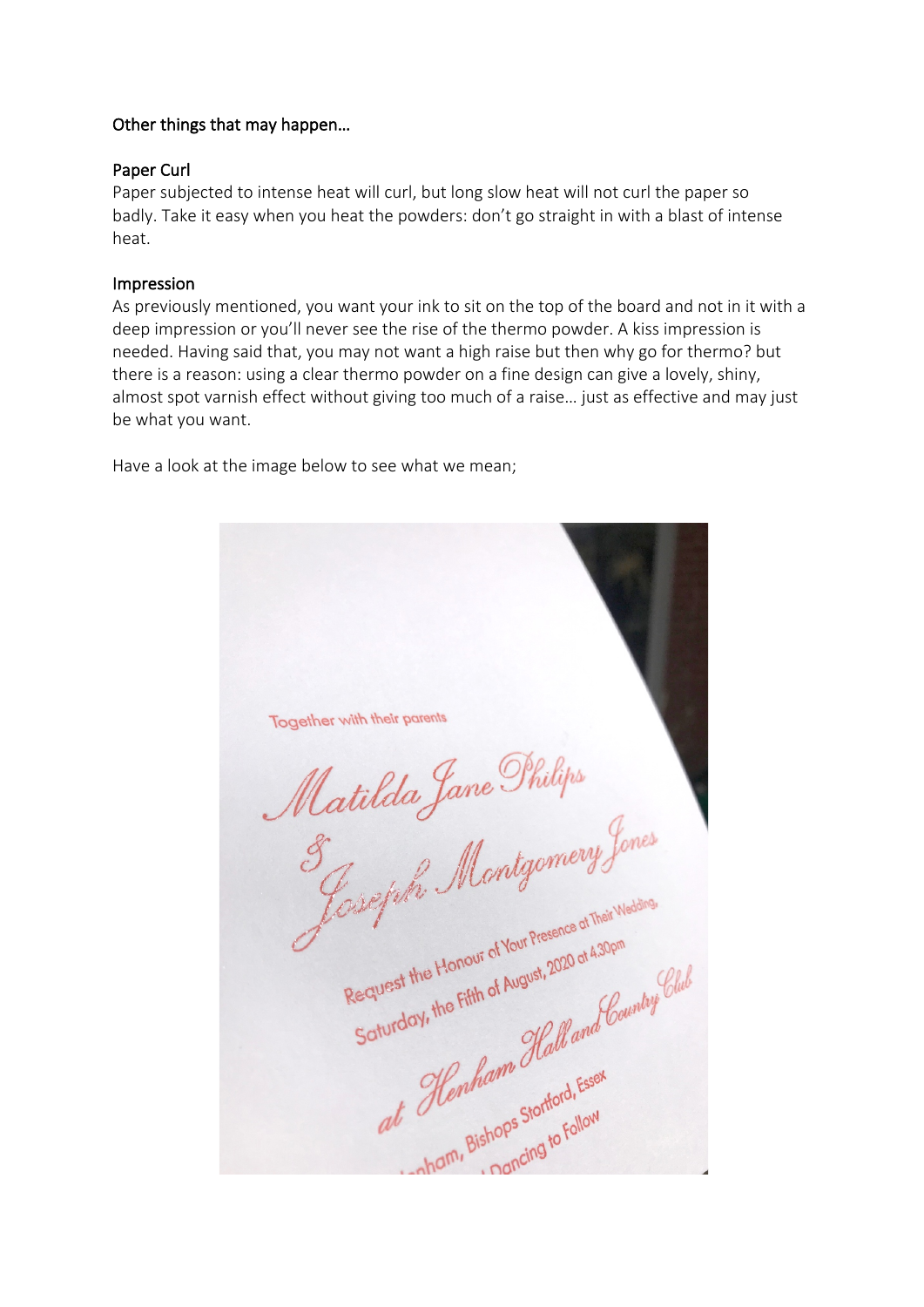#### Other things that may happen…

#### Paper Curl

Paper subjected to intense heat will curl, but long slow heat will not curl the paper so badly. Take it easy when you heat the powders: don't go straight in with a blast of intense heat.

#### Impression

As previously mentioned, you want your ink to sit on the top of the board and not in it with a deep impression or you'll never see the rise of the thermo powder. A kiss impression is needed. Having said that, you may not want a high raise but then why go for thermo? but there is a reason: using a clear thermo powder on a fine design can give a lovely, shiny, almost spot varnish effect without giving too much of a raise… just as effective and may just be what you want.

Have a look at the image below to see what we mean;

Together with their parents<br>Matilda Jane Philips<br>Jossefish Montgomery Jones Request the Honour of Your Presence of Their Wedding.<br>Request the Honour of Your Presence of Their Wedding. Request the Honour of Your Presence of Their<br>Request the Honour of August, 2020 at 4.30pm at Henham Hall and Country Club<br>Saturday, the Fifth of August, 2020 at 4.30pm urday, the .<br>at Henham Hall and Court of the Manus Standard Court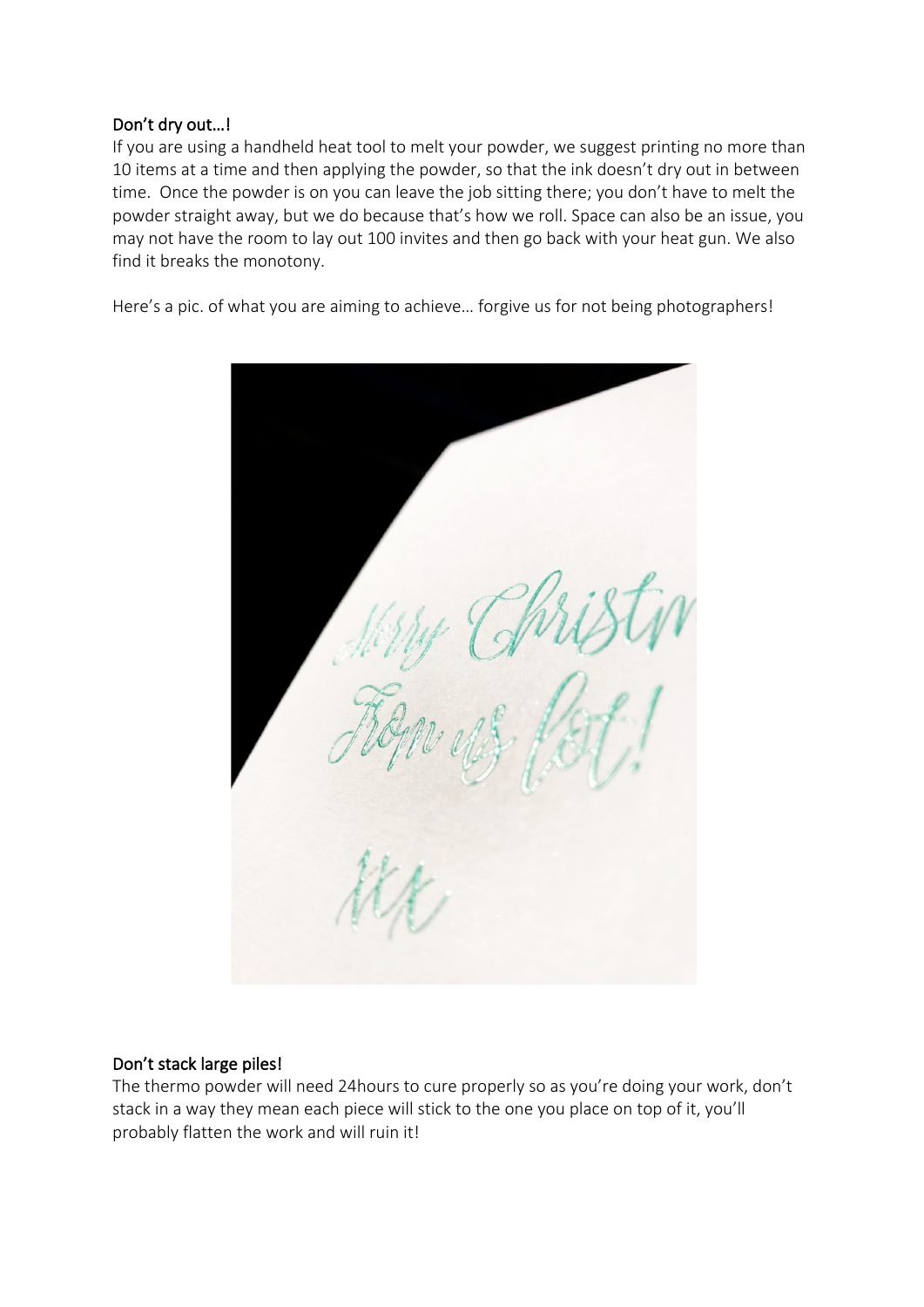#### Don't dry out…!

If you are using a handheld heat tool to melt your powder, we suggest printing no more than 10 items at a time and then applying the powder, so that the ink doesn't dry out in between time. Once the powder is on you can leave the job sitting there; you don't have to melt the powder straight away, but we do because that's how we roll. Space can also be an issue, you may not have the room to lay out 100 invites and then go back with your heat gun. We also find it breaks the monotony.

Here's a pic. of what you are aiming to achieve… forgive us for not being photographers!



#### Don't stack large piles!

The thermo powder will need 24hours to cure properly so as you're doing your work, don't stack in a way they mean each piece will stick to the one you place on top of it, you'll probably flatten the work and will ruin it!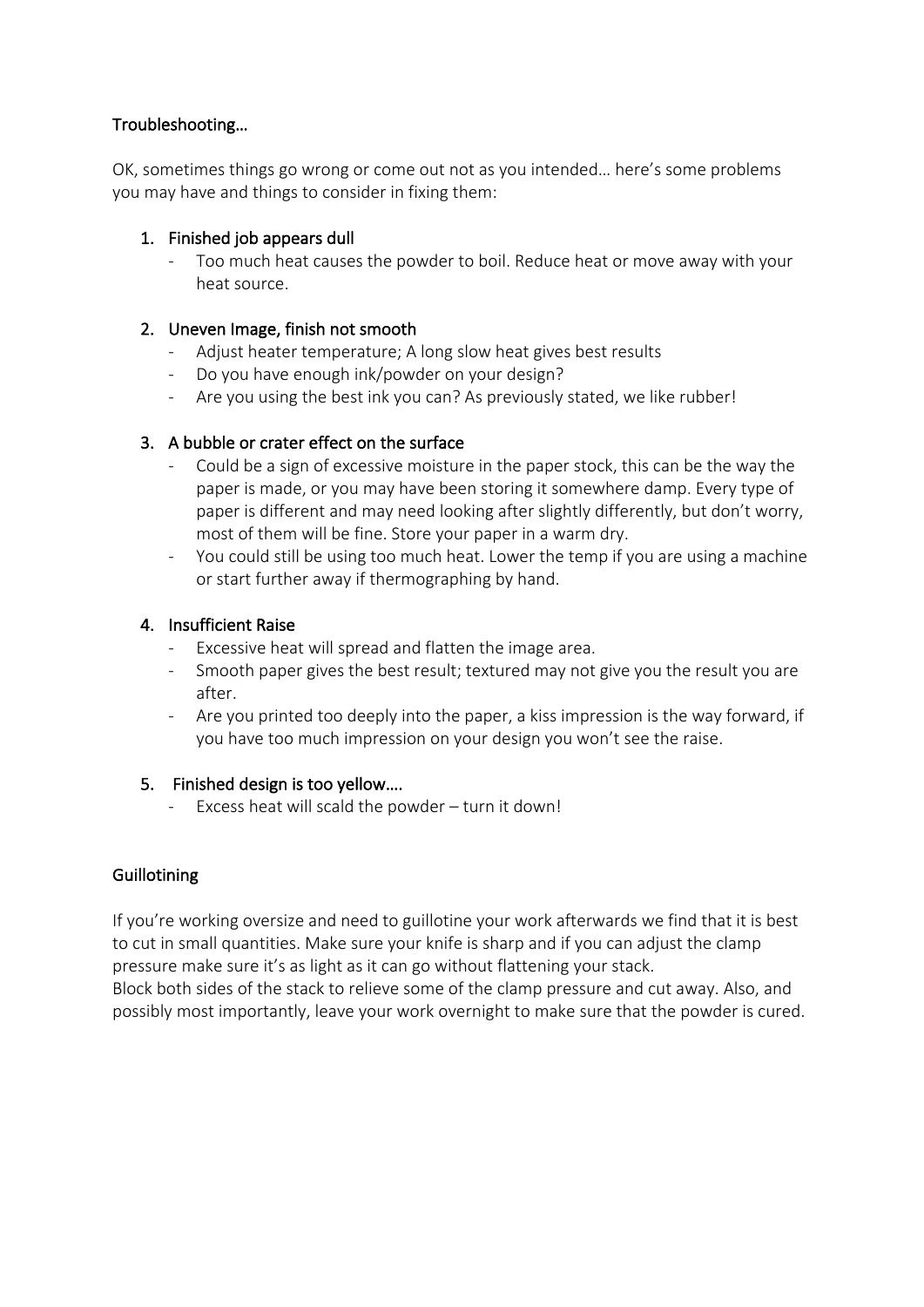#### Troubleshooting…

OK, sometimes things go wrong or come out not as you intended… here's some problems you may have and things to consider in fixing them:

#### 1. Finished job appears dull

- Too much heat causes the powder to boil. Reduce heat or move away with your heat source.

#### 2. Uneven Image, finish not smooth

- Adjust heater temperature; A long slow heat gives best results
- Do you have enough ink/powder on your design?
- Are you using the best ink you can? As previously stated, we like rubber!

#### 3. A bubble or crater effect on the surface

- Could be a sign of excessive moisture in the paper stock, this can be the way the paper is made, or you may have been storing it somewhere damp. Every type of paper is different and may need looking after slightly differently, but don't worry, most of them will be fine. Store your paper in a warm dry.
- You could still be using too much heat. Lower the temp if you are using a machine or start further away if thermographing by hand.

#### 4. Insufficient Raise

- Excessive heat will spread and flatten the image area.
- Smooth paper gives the best result; textured may not give you the result you are after.
- Are you printed too deeply into the paper, a kiss impression is the way forward, if you have too much impression on your design you won't see the raise.

#### 5. Finished design is too yellow….

Excess heat will scald the powder  $-$  turn it down!

## **Guillotining**

If you're working oversize and need to guillotine your work afterwards we find that it is best to cut in small quantities. Make sure your knife is sharp and if you can adjust the clamp pressure make sure it's as light as it can go without flattening your stack. Block both sides of the stack to relieve some of the clamp pressure and cut away. Also, and possibly most importantly, leave your work overnight to make sure that the powder is cured.